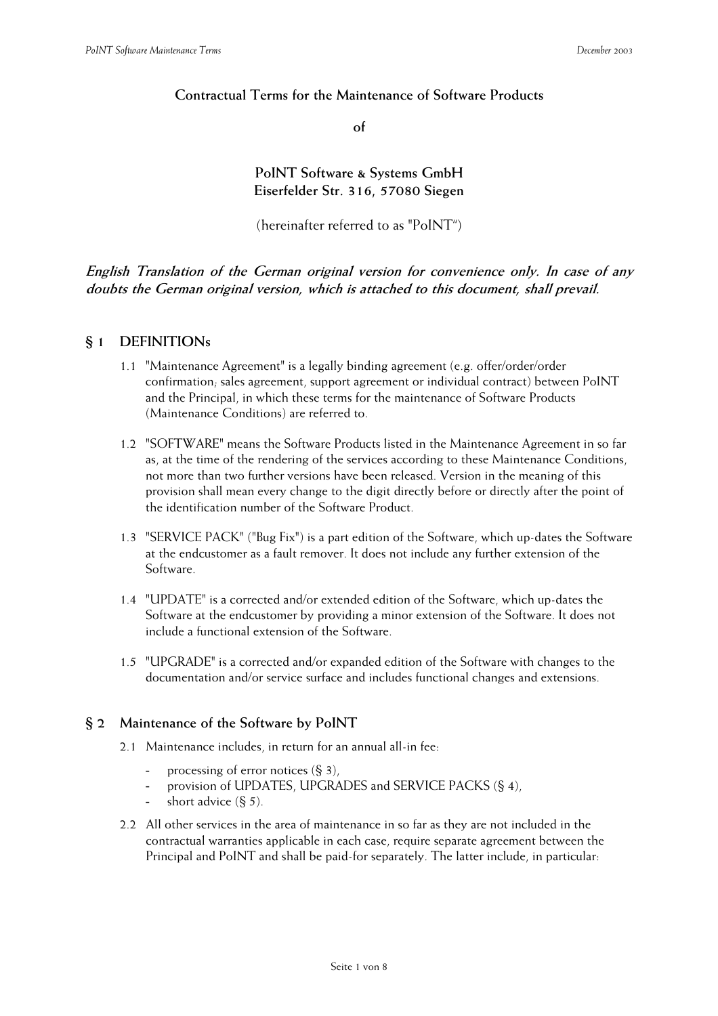## **Contractual Terms for the Maintenance of Software Products**

**of** 

**PoINT Software & Systems GmbH Eiserfelder Str. 316, 57080 Siegen** 

(hereinafter referred to as "PoINT")

**English Translation of the German original version for convenience only. In case of any doubts the German original version, which is attached to this document, shall prevail.**

### **§ 1 DEFINITIONs**

- 1.1 "Maintenance Agreement" is a legally binding agreement (e.g. offer/order/order confirmation; sales agreement, support agreement or individual contract) between PoINT and the Principal, in which these terms for the maintenance of Software Products (Maintenance Conditions) are referred to.
- 1.2 "SOFTWARE" means the Software Products listed in the Maintenance Agreement in so far as, at the time of the rendering of the services according to these Maintenance Conditions, not more than two further versions have been released. Version in the meaning of this provision shall mean every change to the digit directly before or directly after the point of the identification number of the Software Product.
- 1.3 "SERVICE PACK" ("Bug Fix") is a part edition of the Software, which up-dates the Software at the endcustomer as a fault remover. It does not include any further extension of the Software.
- 1.4 "UPDATE" is a corrected and/or extended edition of the Software, which up-dates the Software at the endcustomer by providing a minor extension of the Software. It does not include a functional extension of the Software.
- 1.5 "UPGRADE" is a corrected and/or expanded edition of the Software with changes to the documentation and/or service surface and includes functional changes and extensions.

### **§ 2 Maintenance of the Software by PoINT**

- 2.1 Maintenance includes, in return for an annual all-in fee:
	- processing of error notices  $(\S 3)$ ,
	- provision of UPDATES, UPGRADES and SERVICE PACKS (§ 4),
	- short advice  $(\xi, 5)$ .
- 2.2 All other services in the area of maintenance in so far as they are not included in the contractual warranties applicable in each case, require separate agreement between the Principal and PoINT and shall be paid-for separately. The latter include, in particular: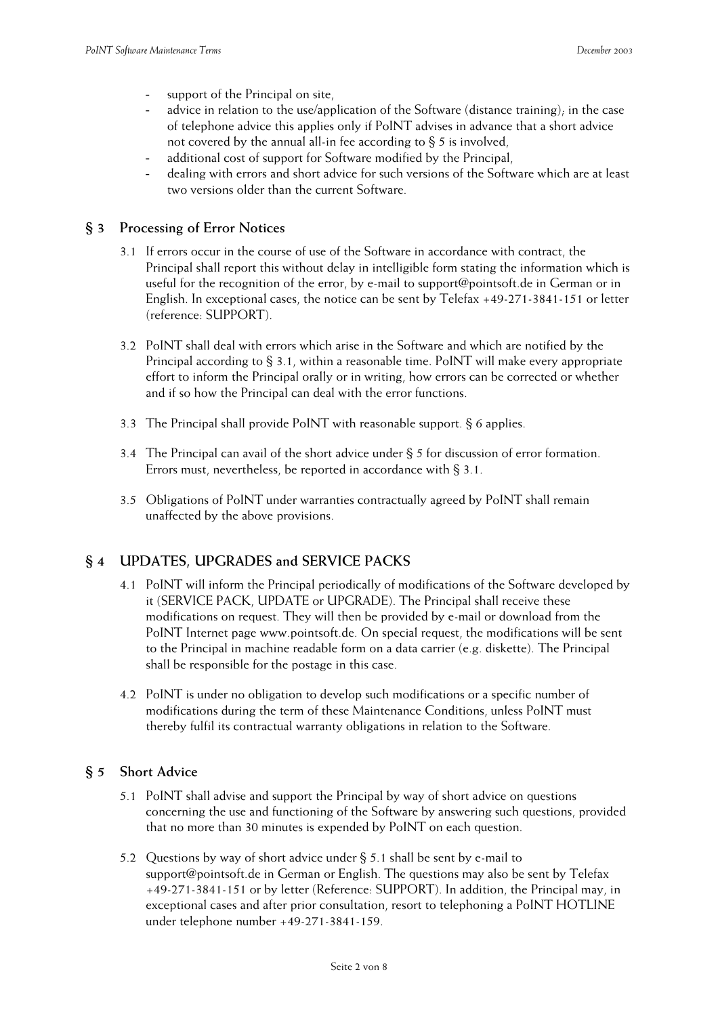- support of the Principal on site,
- advice in relation to the use/application of the Software (distance training); in the case of telephone advice this applies only if PoINT advises in advance that a short advice not covered by the annual all-in fee according to § 5 is involved,
- additional cost of support for Software modified by the Principal,
- dealing with errors and short advice for such versions of the Software which are at least two versions older than the current Software.

### **§ 3 Processing of Error Notices**

- 3.1 If errors occur in the course of use of the Software in accordance with contract, the Principal shall report this without delay in intelligible form stating the information which is useful for the recognition of the error, by e-mail to support@pointsoft.de in German or in English. In exceptional cases, the notice can be sent by Telefax +49-271-3841-151 or letter (reference: SUPPORT).
- 3.2 PoINT shall deal with errors which arise in the Software and which are notified by the Principal according to § 3.1, within a reasonable time. PoINT will make every appropriate effort to inform the Principal orally or in writing, how errors can be corrected or whether and if so how the Principal can deal with the error functions.
- 3.3 The Principal shall provide PoINT with reasonable support. § 6 applies.
- 3.4 The Principal can avail of the short advice under § 5 for discussion of error formation. Errors must, nevertheless, be reported in accordance with § 3.1.
- 3.5 Obligations of PoINT under warranties contractually agreed by PoINT shall remain unaffected by the above provisions.

### **§ 4 UPDATES, UPGRADES and SERVICE PACKS**

- 4.1 PoINT will inform the Principal periodically of modifications of the Software developed by it (SERVICE PACK, UPDATE or UPGRADE). The Principal shall receive these modifications on request. They will then be provided by e-mail or download from the PoINT Internet page www.pointsoft.de. On special request, the modifications will be sent to the Principal in machine readable form on a data carrier (e.g. diskette). The Principal shall be responsible for the postage in this case.
- 4.2 PoINT is under no obligation to develop such modifications or a specific number of modifications during the term of these Maintenance Conditions, unless PoINT must thereby fulfil its contractual warranty obligations in relation to the Software.

### **§ 5 Short Advice**

- 5.1 PoINT shall advise and support the Principal by way of short advice on questions concerning the use and functioning of the Software by answering such questions, provided that no more than 30 minutes is expended by PoINT on each question.
- 5.2 Questions by way of short advice under § 5.1 shall be sent by e-mail to support@pointsoft.de in German or English. The questions may also be sent by Telefax +49-271-3841-151 or by letter (Reference: SUPPORT). In addition, the Principal may, in exceptional cases and after prior consultation, resort to telephoning a PoINT HOTLINE under telephone number +49-271-3841-159.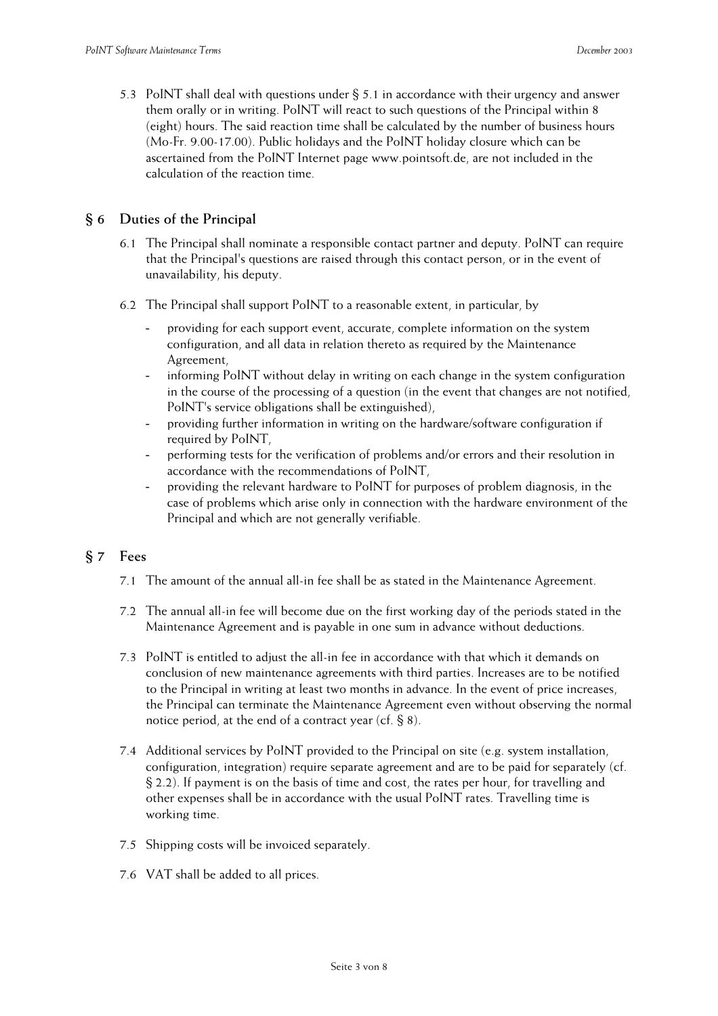5.3 PoINT shall deal with questions under § 5.1 in accordance with their urgency and answer them orally or in writing. PoINT will react to such questions of the Principal within 8 (eight) hours. The said reaction time shall be calculated by the number of business hours (Mo-Fr. 9.00-17.00). Public holidays and the PoINT holiday closure which can be ascertained from the PoINT Internet page www.pointsoft.de, are not included in the calculation of the reaction time.

## **§ 6 Duties of the Principal**

- 6.1 The Principal shall nominate a responsible contact partner and deputy. PoINT can require that the Principal's questions are raised through this contact person, or in the event of unavailability, his deputy.
- 6.2 The Principal shall support PoINT to a reasonable extent, in particular, by
	- providing for each support event, accurate, complete information on the system configuration, and all data in relation thereto as required by the Maintenance Agreement,
	- informing PoINT without delay in writing on each change in the system configuration in the course of the processing of a question (in the event that changes are not notified, PoINT's service obligations shall be extinguished),
	- providing further information in writing on the hardware/software configuration if required by PoINT,
	- performing tests for the verification of problems and/or errors and their resolution in accordance with the recommendations of PoINT,
	- providing the relevant hardware to PoINT for purposes of problem diagnosis, in the case of problems which arise only in connection with the hardware environment of the Principal and which are not generally verifiable.

# **§ 7 Fees**

- 7.1 The amount of the annual all-in fee shall be as stated in the Maintenance Agreement.
- 7.2 The annual all-in fee will become due on the first working day of the periods stated in the Maintenance Agreement and is payable in one sum in advance without deductions.
- 7.3 PoINT is entitled to adjust the all-in fee in accordance with that which it demands on conclusion of new maintenance agreements with third parties. Increases are to be notified to the Principal in writing at least two months in advance. In the event of price increases, the Principal can terminate the Maintenance Agreement even without observing the normal notice period, at the end of a contract year (cf. § 8).
- 7.4 Additional services by PoINT provided to the Principal on site (e.g. system installation, configuration, integration) require separate agreement and are to be paid for separately (cf. § 2.2). If payment is on the basis of time and cost, the rates per hour, for travelling and other expenses shall be in accordance with the usual PoINT rates. Travelling time is working time.
- 7.5 Shipping costs will be invoiced separately.
- 7.6 VAT shall be added to all prices.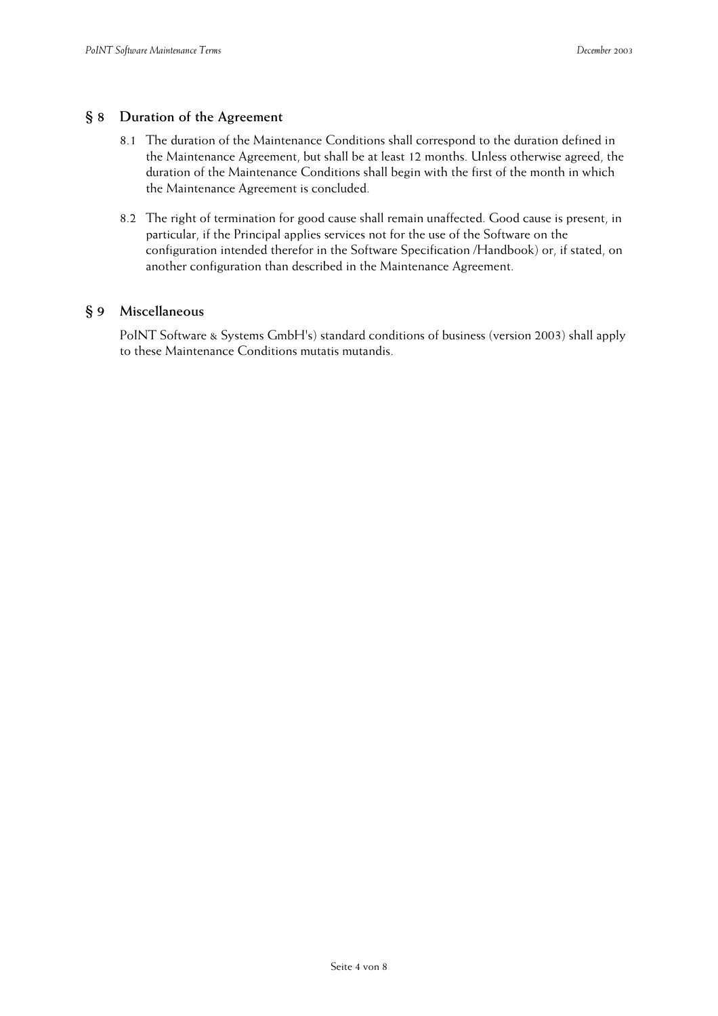### **§ 8 Duration of the Agreement**

- 8.1 The duration of the Maintenance Conditions shall correspond to the duration defined in the Maintenance Agreement, but shall be at least 12 months. Unless otherwise agreed, the duration of the Maintenance Conditions shall begin with the first of the month in which the Maintenance Agreement is concluded.
- 8.2 The right of termination for good cause shall remain unaffected. Good cause is present, in particular, if the Principal applies services not for the use of the Software on the configuration intended therefor in the Software Specification /Handbook) or, if stated, on another configuration than described in the Maintenance Agreement.

#### **§ 9 Miscellaneous**

PoINT Software & Systems GmbH's) standard conditions of business (version 2003) shall apply to these Maintenance Conditions mutatis mutandis.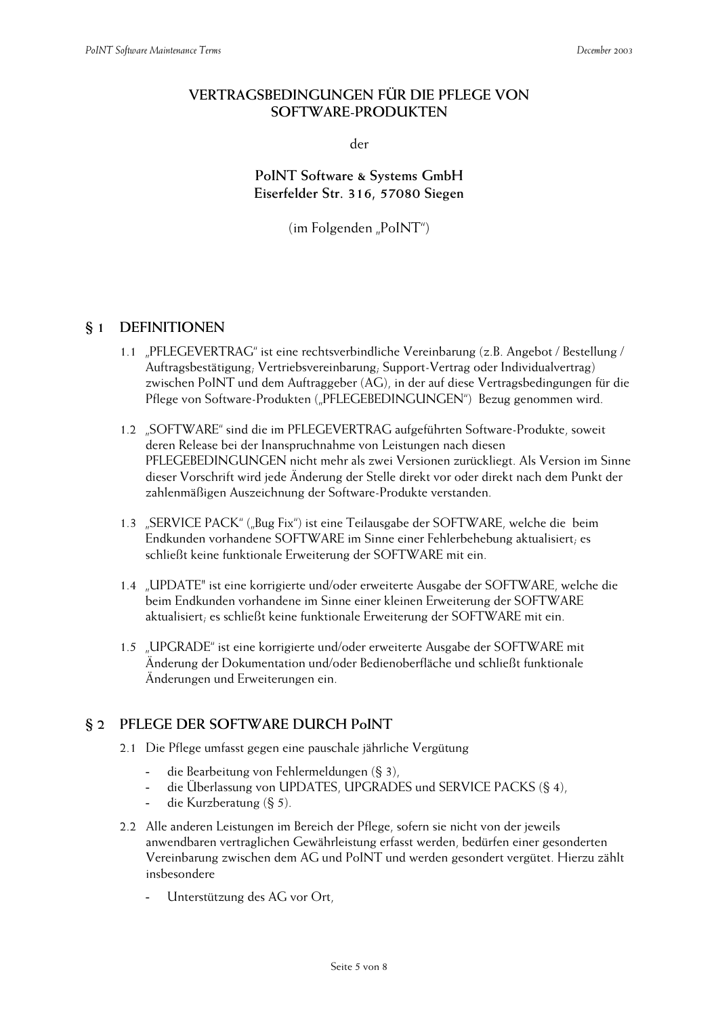## **VERTRAGSBEDINGUNGEN FÜR DIE PFLEGE VON SOFTWARE-PRODUKTEN**

der

**PoINT Software & Systems GmbH Eiserfelder Str. 316, 57080 Siegen** 

 $(im$  Folgenden "PoINT")

## **§ 1 DEFINITIONEN**

- 1.1 "PFLEGEVERTRAG" ist eine rechtsverbindliche Vereinbarung (z.B. Angebot / Bestellung / Auftragsbestätigung; Vertriebsvereinbarung; Support-Vertrag oder Individualvertrag) zwischen PoINT und dem Auftraggeber (AG), in der auf diese Vertragsbedingungen für die Pflege von Software-Produkten ("PFLEGEBEDINGUNGEN") Bezug genommen wird.
- 1.2 "SOFTWARE" sind die im PFLEGEVERTRAG aufgeführten Software-Produkte, soweit deren Release bei der Inanspruchnahme von Leistungen nach diesen PFLEGEBEDINGUNGEN nicht mehr als zwei Versionen zurückliegt. Als Version im Sinne dieser Vorschrift wird jede Änderung der Stelle direkt vor oder direkt nach dem Punkt der zahlenmäßigen Auszeichnung der Software-Produkte verstanden.
- 1.3 "SERVICE PACK" ("Bug Fix") ist eine Teilausgabe der SOFTWARE, welche die beim Endkunden vorhandene SOFTWARE im Sinne einer Fehlerbehebung aktualisiert; es schließt keine funktionale Erweiterung der SOFTWARE mit ein.
- 1.4 "UPDATE" ist eine korrigierte und/oder erweiterte Ausgabe der SOFTWARE, welche die beim Endkunden vorhandene im Sinne einer kleinen Erweiterung der SOFTWARE aktualisiert; es schließt keine funktionale Erweiterung der SOFTWARE mit ein.
- 1.5 "UPGRADE" ist eine korrigierte und/oder erweiterte Ausgabe der SOFTWARE mit Änderung der Dokumentation und/oder Bedienoberfläche und schließt funktionale Änderungen und Erweiterungen ein.

# **§ 2 PFLEGE DER SOFTWARE DURCH PoINT**

- 2.1 Die Pflege umfasst gegen eine pauschale jährliche Vergütung
	- die Bearbeitung von Fehlermeldungen (§ 3),
	- die Überlassung von UPDATES, UPGRADES und SERVICE PACKS (§ 4),
	- die Kurzberatung (§ 5).
- 2.2 Alle anderen Leistungen im Bereich der Pflege, sofern sie nicht von der jeweils anwendbaren vertraglichen Gewährleistung erfasst werden, bedürfen einer gesonderten Vereinbarung zwischen dem AG und PoINT und werden gesondert vergütet. Hierzu zählt insbesondere
	- Unterstützung des AG vor Ort,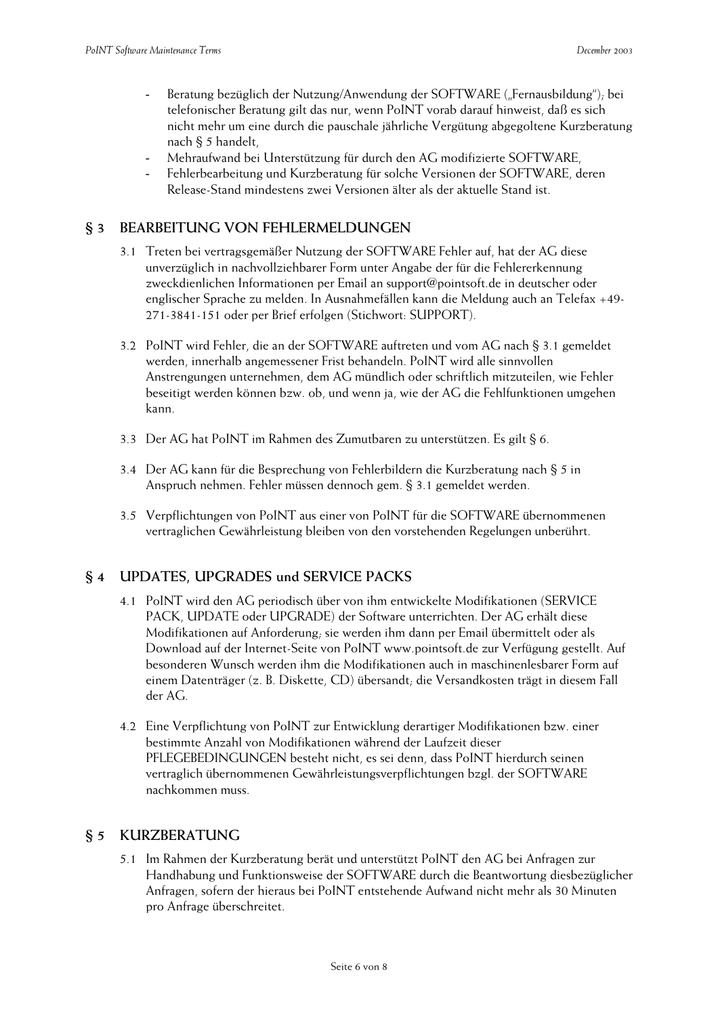- Beratung bezüglich der Nutzung/Anwendung der SOFTWARE ("Fernausbildung"), bei telefonischer Beratung gilt das nur, wenn PoINT vorab darauf hinweist, daß es sich nicht mehr um eine durch die pauschale jährliche Vergütung abgegoltene Kurzberatung nach § 5 handelt,
- Mehraufwand bei Unterstützung für durch den AG modifizierte SOFTWARE,
- Fehlerbearbeitung und Kurzberatung für solche Versionen der SOFTWARE, deren Release-Stand mindestens zwei Versionen älter als der aktuelle Stand ist.

# **§ 3 BEARBEITUNG VON FEHLERMELDUNGEN**

- 3.1 Treten bei vertragsgemäßer Nutzung der SOFTWARE Fehler auf, hat der AG diese unverzüglich in nachvollziehbarer Form unter Angabe der für die Fehlererkennung zweckdienlichen Informationen per Email an support@pointsoft.de in deutscher oder englischer Sprache zu melden. In Ausnahmefällen kann die Meldung auch an Telefax +49- 271-3841-151 oder per Brief erfolgen (Stichwort: SUPPORT).
- 3.2 PoINT wird Fehler, die an der SOFTWARE auftreten und vom AG nach § 3.1 gemeldet werden, innerhalb angemessener Frist behandeln. PoINT wird alle sinnvollen Anstrengungen unternehmen, dem AG mündlich oder schriftlich mitzuteilen, wie Fehler beseitigt werden können bzw. ob, und wenn ja, wie der AG die Fehlfunktionen umgehen kann.
- 3.3 Der AG hat PoINT im Rahmen des Zumutbaren zu unterstützen. Es gilt § 6.
- 3.4 Der AG kann für die Besprechung von Fehlerbildern die Kurzberatung nach § 5 in Anspruch nehmen. Fehler müssen dennoch gem. § 3.1 gemeldet werden.
- 3.5 Verpflichtungen von PoINT aus einer von PoINT für die SOFTWARE übernommenen vertraglichen Gewährleistung bleiben von den vorstehenden Regelungen unberührt.

# **§ 4 UPDATES, UPGRADES und SERVICE PACKS**

- 4.1 PoINT wird den AG periodisch über von ihm entwickelte Modifikationen (SERVICE PACK, UPDATE oder UPGRADE) der Software unterrichten. Der AG erhält diese Modifikationen auf Anforderung; sie werden ihm dann per Email übermittelt oder als Download auf der Internet-Seite von PoINT www.pointsoft.de zur Verfügung gestellt. Auf besonderen Wunsch werden ihm die Modifikationen auch in maschinenlesbarer Form auf einem Datenträger (z. B. Diskette, CD) übersandt; die Versandkosten trägt in diesem Fall der AG.
- 4.2 Eine Verpflichtung von PoINT zur Entwicklung derartiger Modifikationen bzw. einer bestimmte Anzahl von Modifikationen während der Laufzeit dieser PFLEGEBEDINGUNGEN besteht nicht, es sei denn, dass PoINT hierdurch seinen vertraglich übernommenen Gewährleistungsverpflichtungen bzgl. der SOFTWARE nachkommen muss.

### **§ 5 KURZBERATUNG**

5.1 Im Rahmen der Kurzberatung berät und unterstützt PoINT den AG bei Anfragen zur Handhabung und Funktionsweise der SOFTWARE durch die Beantwortung diesbezüglicher Anfragen, sofern der hieraus bei PoINT entstehende Aufwand nicht mehr als 30 Minuten pro Anfrage überschreitet.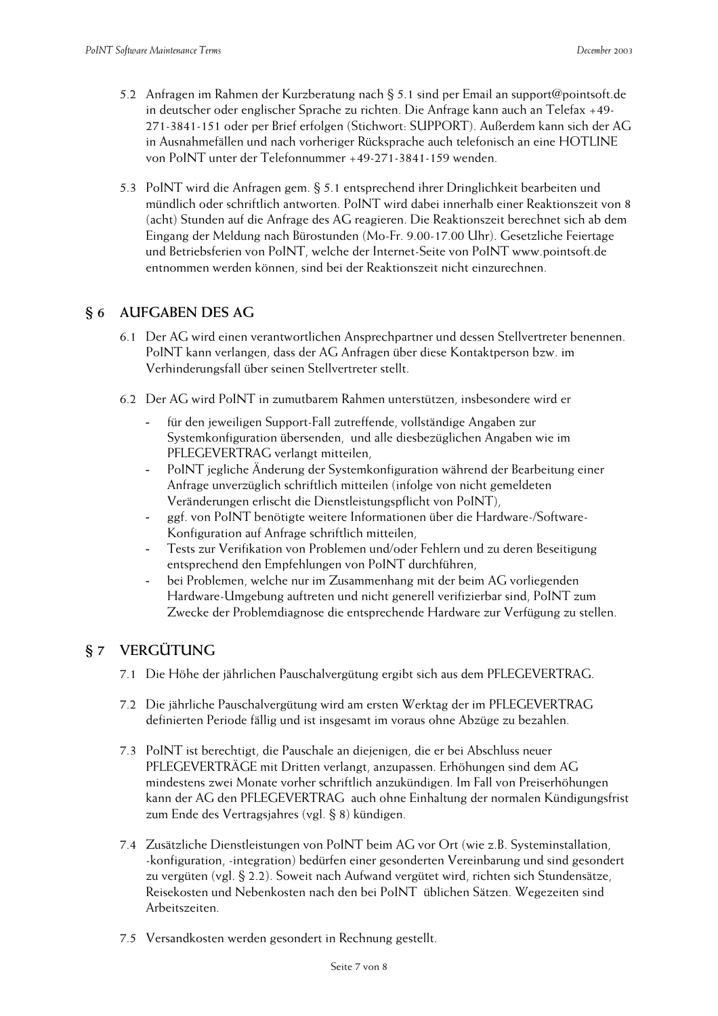- 5.2 Anfragen im Rahmen der Kurzberatung nach § 5.1 sind per Email an support@pointsoft.de in deutscher oder englischer Sprache zu richten. Die Anfrage kann auch an Telefax +49- 271-3841-151 oder per Brief erfolgen (Stichwort: SUPPORT). Außerdem kann sich der AG in Ausnahmefällen und nach vorheriger Rücksprache auch telefonisch an eine HOTLINE von PoINT unter der Telefonnummer +49-271-3841-159 wenden.
- 5.3 PoINT wird die Anfragen gem. § 5.1 entsprechend ihrer Dringlichkeit bearbeiten und mündlich oder schriftlich antworten. PoINT wird dabei innerhalb einer Reaktionszeit von 8 (acht) Stunden auf die Anfrage des AG reagieren. Die Reaktionszeit berechnet sich ab dem Eingang der Meldung nach Bürostunden (Mo-Fr. 9.00-17.00 Uhr). Gesetzliche Feiertage und Betriebsferien von PoINT, welche der Internet-Seite von PoINT www.pointsoft.de entnommen werden können, sind bei der Reaktionszeit nicht einzurechnen.

## **§ 6 AUFGABEN DES AG**

- 6.1 Der AG wird einen verantwortlichen Ansprechpartner und dessen Stellvertreter benennen. PoINT kann verlangen, dass der AG Anfragen über diese Kontaktperson bzw. im Verhinderungsfall über seinen Stellvertreter stellt.
- 6.2 Der AG wird PoINT in zumutbarem Rahmen unterstützen, insbesondere wird er
	- für den jeweiligen Support-Fall zutreffende, vollständige Angaben zur Systemkonfiguration übersenden, und alle diesbezüglichen Angaben wie im PFLEGEVERTRAG verlangt mitteilen,
	- PoINT jegliche Änderung der Systemkonfiguration während der Bearbeitung einer Anfrage unverzüglich schriftlich mitteilen (infolge von nicht gemeldeten Veränderungen erlischt die Dienstleistungspflicht von PoINT),
	- ggf. von PoINT benötigte weitere Informationen über die Hardware-/Software-Konfiguration auf Anfrage schriftlich mitteilen,
	- Tests zur Verifikation von Problemen und/oder Fehlern und zu deren Beseitigung entsprechend den Empfehlungen von PoINT durchführen,
	- bei Problemen, welche nur im Zusammenhang mit der beim AG vorliegenden Hardware-Umgebung auftreten und nicht generell verifizierbar sind, PoINT zum Zwecke der Problemdiagnose die entsprechende Hardware zur Verfügung zu stellen.

# **§ 7 VERGÜTUNG**

- 7.1 Die Höhe der jährlichen Pauschalvergütung ergibt sich aus dem PFLEGEVERTRAG.
- 7.2 Die jährliche Pauschalvergütung wird am ersten Werktag der im PFLEGEVERTRAG definierten Periode fällig und ist insgesamt im voraus ohne Abzüge zu bezahlen.
- 7.3 PoINT ist berechtigt, die Pauschale an diejenigen, die er bei Abschluss neuer PFLEGEVERTRÄGE mit Dritten verlangt, anzupassen. Erhöhungen sind dem AG mindestens zwei Monate vorher schriftlich anzukündigen. Im Fall von Preiserhöhungen kann der AG den PFLEGEVERTRAG auch ohne Einhaltung der normalen Kündigungsfrist zum Ende des Vertragsjahres (vgl. § 8) kündigen.
- 7.4 Zusätzliche Dienstleistungen von PoINT beim AG vor Ort (wie z.B. Systeminstallation, -konfiguration, -integration) bedürfen einer gesonderten Vereinbarung und sind gesondert zu vergüten (vgl. § 2.2). Soweit nach Aufwand vergütet wird, richten sich Stundensätze, Reisekosten und Nebenkosten nach den bei PoINT üblichen Sätzen. Wegezeiten sind Arbeitszeiten.
- 7.5 Versandkosten werden gesondert in Rechnung gestellt.